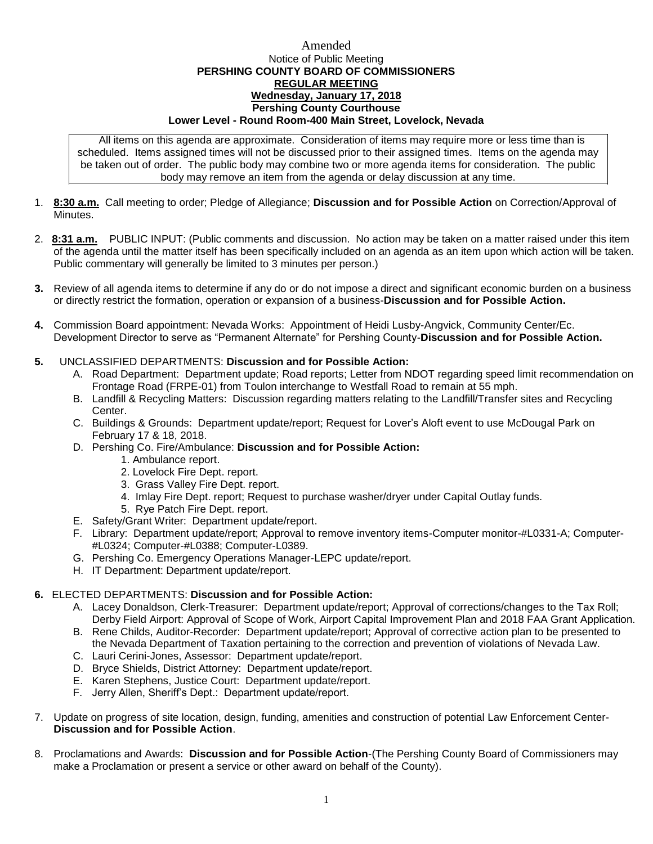## Amended Notice of Public Meeting **PERSHING COUNTY BOARD OF COMMISSIONERS REGULAR MEETING Wednesday, January 17, 2018 Pershing County Courthouse Lower Level - Round Room-400 Main Street, Lovelock, Nevada**

All items on this agenda are approximate. Consideration of items may require more or less time than is scheduled. Items assigned times will not be discussed prior to their assigned times. Items on the agenda may be taken out of order. The public body may combine two or more agenda items for consideration. The public body may remove an item from the agenda or delay discussion at any time.

- 1. **8:30 a.m.** Call meeting to order; Pledge of Allegiance; **Discussion and for Possible Action** on Correction/Approval of **Minutes**
- 2. **8:31 a.m.** PUBLIC INPUT: (Public comments and discussion. No action may be taken on a matter raised under this item of the agenda until the matter itself has been specifically included on an agenda as an item upon which action will be taken. Public commentary will generally be limited to 3 minutes per person.)
- **3.** Review of all agenda items to determine if any do or do not impose a direct and significant economic burden on a business or directly restrict the formation, operation or expansion of a business-**Discussion and for Possible Action.**
- **4.** Commission Board appointment: Nevada Works: Appointment of Heidi Lusby-Angvick, Community Center/Ec. Development Director to serve as "Permanent Alternate" for Pershing County-**Discussion and for Possible Action.**

## **5.** UNCLASSIFIED DEPARTMENTS: **Discussion and for Possible Action:**

- A. Road Department: Department update; Road reports; Letter from NDOT regarding speed limit recommendation on Frontage Road (FRPE-01) from Toulon interchange to Westfall Road to remain at 55 mph.
- B. Landfill & Recycling Matters: Discussion regarding matters relating to the Landfill/Transfer sites and Recycling Center.
- C. Buildings & Grounds: Department update/report; Request for Lover's Aloft event to use McDougal Park on February 17 & 18, 2018.
- D. Pershing Co. Fire/Ambulance: **Discussion and for Possible Action:**
	- 1. Ambulance report.
	- 2. Lovelock Fire Dept. report.
	- 3. Grass Valley Fire Dept. report.
	- 4. Imlay Fire Dept. report; Request to purchase washer/dryer under Capital Outlay funds.
	- 5. Rye Patch Fire Dept. report.
- E. Safety/Grant Writer: Department update/report.
- F. Library: Department update/report; Approval to remove inventory items-Computer monitor-#L0331-A; Computer- #L0324; Computer-#L0388; Computer-L0389.
- G. Pershing Co. Emergency Operations Manager-LEPC update/report.
- H. IT Department: Department update/report.

## **6.** ELECTED DEPARTMENTS: **Discussion and for Possible Action:**

- A. Lacey Donaldson, Clerk-Treasurer: Department update/report; Approval of corrections/changes to the Tax Roll; Derby Field Airport: Approval of Scope of Work, Airport Capital Improvement Plan and 2018 FAA Grant Application.
- B. Rene Childs, Auditor-Recorder: Department update/report; Approval of corrective action plan to be presented to the Nevada Department of Taxation pertaining to the correction and prevention of violations of Nevada Law.
- C. Lauri Cerini-Jones, Assessor: Department update/report.
- D. Bryce Shields, District Attorney: Department update/report.
- E. Karen Stephens, Justice Court: Department update/report.
- F. Jerry Allen, Sheriff's Dept.: Department update/report.
- 7. Update on progress of site location, design, funding, amenities and construction of potential Law Enforcement Center-**Discussion and for Possible Action**.
- 8. Proclamations and Awards: **Discussion and for Possible Action**-(The Pershing County Board of Commissioners may make a Proclamation or present a service or other award on behalf of the County).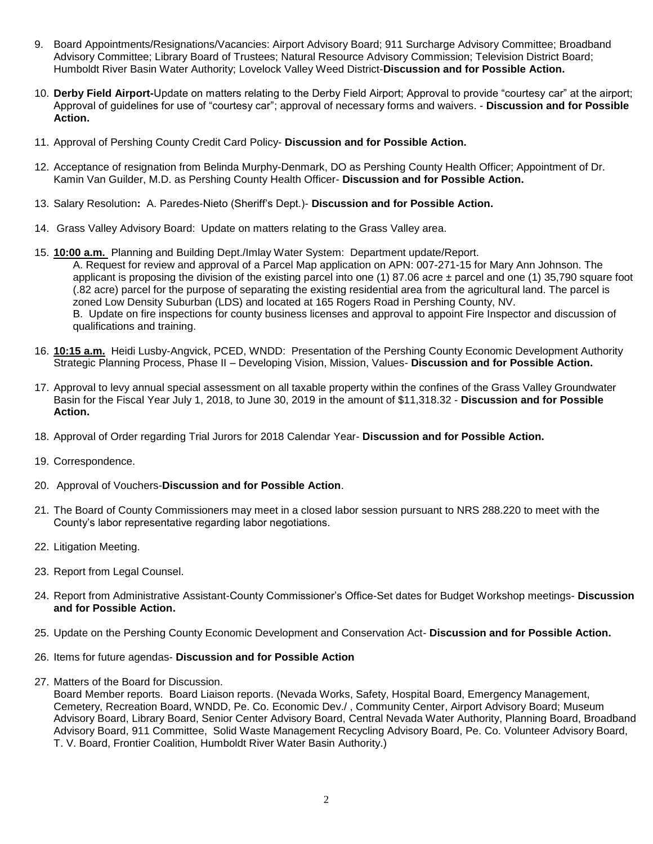- 9. Board Appointments/Resignations/Vacancies: Airport Advisory Board; 911 Surcharge Advisory Committee; Broadband Advisory Committee; Library Board of Trustees; Natural Resource Advisory Commission; Television District Board; Humboldt River Basin Water Authority; Lovelock Valley Weed District-**Discussion and for Possible Action.**
- 10. **Derby Field Airport-**Update on matters relating to the Derby Field Airport; Approval to provide "courtesy car" at the airport; Approval of guidelines for use of "courtesy car"; approval of necessary forms and waivers. - **Discussion and for Possible Action.**
- 11. Approval of Pershing County Credit Card Policy- **Discussion and for Possible Action.**
- 12. Acceptance of resignation from Belinda Murphy-Denmark, DO as Pershing County Health Officer; Appointment of Dr. Kamin Van Guilder, M.D. as Pershing County Health Officer- **Discussion and for Possible Action.**
- 13. Salary Resolution**:** A. Paredes-Nieto (Sheriff's Dept.)- **Discussion and for Possible Action.**
- 14. Grass Valley Advisory Board: Update on matters relating to the Grass Valley area.
- 15. **10:00 a.m.** Planning and Building Dept./Imlay Water System: Department update/Report. A. Request for review and approval of a Parcel Map application on APN: 007-271-15 for Mary Ann Johnson. The applicant is proposing the division of the existing parcel into one (1) 87.06 acre  $\pm$  parcel and one (1) 35,790 square foot (.82 acre) parcel for the purpose of separating the existing residential area from the agricultural land. The parcel is zoned Low Density Suburban (LDS) and located at 165 Rogers Road in Pershing County, NV. B. Update on fire inspections for county business licenses and approval to appoint Fire Inspector and discussion of qualifications and training.
- 16. **10:15 a.m.** Heidi Lusby-Angvick, PCED, WNDD: Presentation of the Pershing County Economic Development Authority Strategic Planning Process, Phase II – Developing Vision, Mission, Values- **Discussion and for Possible Action.**
- 17. Approval to levy annual special assessment on all taxable property within the confines of the Grass Valley Groundwater Basin for the Fiscal Year July 1, 2018, to June 30, 2019 in the amount of \$11,318.32 - **Discussion and for Possible Action.**
- 18. Approval of Order regarding Trial Jurors for 2018 Calendar Year- **Discussion and for Possible Action.**
- 19. Correspondence.
- 20. Approval of Vouchers-**Discussion and for Possible Action**.
- 21. The Board of County Commissioners may meet in a closed labor session pursuant to NRS 288.220 to meet with the County's labor representative regarding labor negotiations.
- 22. Litigation Meeting.
- 23. Report from Legal Counsel.
- 24. Report from Administrative Assistant-County Commissioner's Office-Set dates for Budget Workshop meetings- **Discussion and for Possible Action.**
- 25. Update on the Pershing County Economic Development and Conservation Act- **Discussion and for Possible Action.**
- 26. Items for future agendas- **Discussion and for Possible Action**
- 27. Matters of the Board for Discussion.

Board Member reports. Board Liaison reports. (Nevada Works, Safety, Hospital Board, Emergency Management, Cemetery, Recreation Board, WNDD, Pe. Co. Economic Dev./ , Community Center, Airport Advisory Board; Museum Advisory Board, Library Board, Senior Center Advisory Board, Central Nevada Water Authority, Planning Board, Broadband Advisory Board, 911 Committee, Solid Waste Management Recycling Advisory Board, Pe. Co. Volunteer Advisory Board, T. V. Board, Frontier Coalition, Humboldt River Water Basin Authority.)